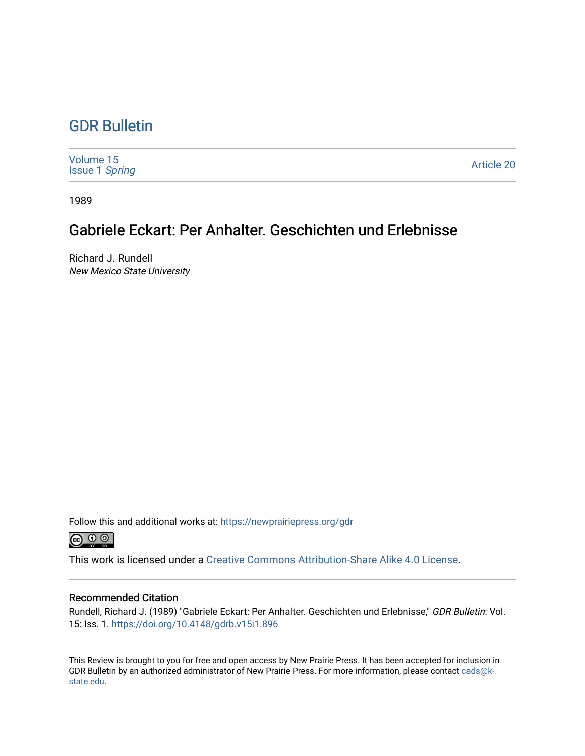## [GDR Bulletin](https://newprairiepress.org/gdr)

| Volume 15<br><b>Issue 1 Spring</b> | <b>Article 20</b> |
|------------------------------------|-------------------|
|------------------------------------|-------------------|

1989

## Gabriele Eckart: Per Anhalter. Geschichten und Erlebnisse

Richard J. Rundell New Mexico State University

Follow this and additional works at: [https://newprairiepress.org/gdr](https://newprairiepress.org/gdr?utm_source=newprairiepress.org%2Fgdr%2Fvol15%2Fiss1%2F20&utm_medium=PDF&utm_campaign=PDFCoverPages) 



This work is licensed under a [Creative Commons Attribution-Share Alike 4.0 License.](https://creativecommons.org/licenses/by-sa/4.0/)

## Recommended Citation

Rundell, Richard J. (1989) "Gabriele Eckart: Per Anhalter. Geschichten und Erlebnisse," GDR Bulletin: Vol. 15: Iss. 1. <https://doi.org/10.4148/gdrb.v15i1.896>

This Review is brought to you for free and open access by New Prairie Press. It has been accepted for inclusion in GDR Bulletin by an authorized administrator of New Prairie Press. For more information, please contact [cads@k](mailto:cads@k-state.edu)[state.edu](mailto:cads@k-state.edu).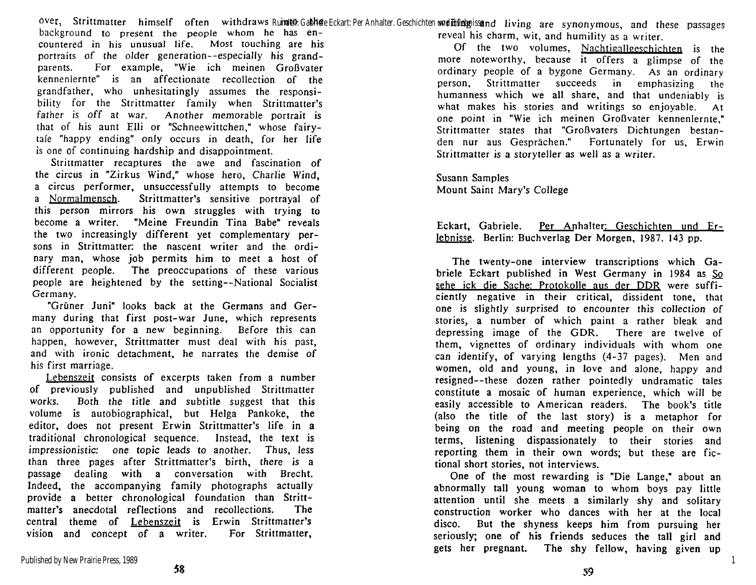background to present the people whom he has encountered in his unusual life. Most touching are his portraits of the older generation—especially his grandparents. For example, "Wie ich meinen Großvater kennenlernte" is an affectionate recollection of the grandfather, who unhesitatingly assumes the responsibility for the Strittmatter family when Strittmatter's father is off at war. Another memorable portrait is that of his aunt Elli or "Schneewittchen," whose fairytale "happy ending" only occurs in death, for her life is one of continuing hardship and disappointment.

Strittmatter recaptures the awe and fascination of the circus in "Zirkus Wind," whose hero, Charlie Wind, a circus performer, unsuccessfully attempts to become a Normalmensch. Strittmatter's sensitive portrayal of this person mirrors his own struggles with trying to become a writer. "Meine Freundin Tina Babe" reveals the two increasingly different yet complementary persons in Strittmatter: the nascent writer and the ordinary man, whose job permits him to meet a host of different people. The preoccupations of these various people are heightened by the setting—National Socialist Germany.

"Grüner Juni" looks back at the Germans and Germany during that first post-war June, which represents an opportunity for a new beginning. Before this can happen, however, Strittmatter must deal with his past, and with ironic detachment, he narrates the demise of his first marriage.

Lebenszeit consists of excerpts taken from a number of previously published and unpublished Strittmatter works. Both the title and subtitle suggest that this volume is autobiographical, but Helga Pankoke, the editor, does not present Erwin Strittmatter's life in a traditional chronological sequence. Instead, the text is impressionistic: one topic leads to another. Thus, less than three pages after Strittmatter's birth, there is a passage dealing with a conversation with Brecht. Indeed, the accompanying family photographs actually provide a better chronological foundation than Strittmatter's anecdotal reflections and recollections. The central theme of Lebenszeit is Erwin Strittmatter's vision and concept of a writer. For Strittmatter,

reveal his charm, wit, and humility as a writer.

Of the two volumes, Nachtigallgeschichten is the more noteworthy, because it offers a glimpse of the ordinary people of a bygone Germany. As an ordinary person, Strittmatter succeeds in emphasizing the humanness which we all share, and that undeniably is what makes his stories and writings so enjoyable. At one point in "Wie ich meinen Großvater kennenlernte," Strittmatter states that "Großvaters Dichtungen bestanden nur aus Gesprächen." Fortunately for us, Erwin Strittmatter is a storyteller as well as a writer.

Susann Samples Mount Saint Mary's College

Eckart, Gabriele. Per Anhalter: Geschichten und Erlebnisse. Berlin: Buchverlag Der Morgen, 1987. 143 pp.

The twenty-one interview transcriptions which Gabriele Eckart published in West Germany in 1984 as So sehe ick die Sache: Protokolle aus der DDR were sufficiently negative in their critical, dissident tone, that one is slightly surprised to encounter this collection of stories, a number of which paint a rather bleak and depressing image of the GDR. There are twelve of them, vignettes of ordinary individuals with whom one can identify, of varying lengths (4-37 pages). Men and women, old and young, in love and alone, happy and resigned—these dozen rather pointedly undramatic tales constitute a mosaic of human experience, which will be easily accessible to American readers. The book's title (also the title of the last story) is a metaphor for being on the road and meeting people on their own terms, listening dispassionately to their stories and reporting them in their own words; but these are fictional short stories, not interviews.

One of the most rewarding is "Die Lange," about an abnormally tall young woman to whom boys pay little attention until she meets a similarly shy and solitary construction worker who dances with her at the local disco. But the shyness keeps him from pursuing her seriously; one of his friends seduces the tall girl and gets her pregnant. The shy fellow, having given up

1